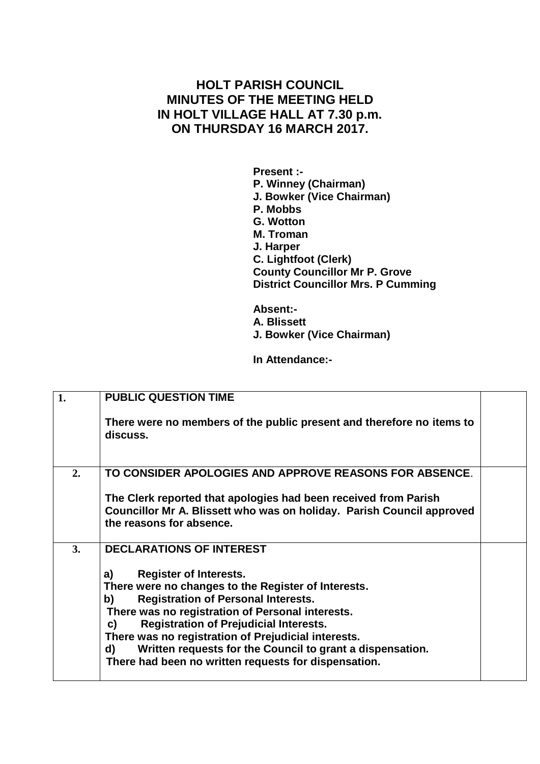## **HOLT PARISH COUNCIL MINUTES OF THE MEETING HELD IN HOLT VILLAGE HALL AT 7.30 p.m. ON THURSDAY 16 MARCH 2017.**

**Present :- P. Winney (Chairman) J. Bowker (Vice Chairman) P. Mobbs G. Wotton M. Troman J. Harper C. Lightfoot (Clerk) County Councillor Mr P. Grove District Councillor Mrs. P Cumming**

**Absent:- A. Blissett J. Bowker (Vice Chairman)**

**In Attendance:-**

| 1. | <b>PUBLIC QUESTION TIME</b>                                                       |  |
|----|-----------------------------------------------------------------------------------|--|
|    | There were no members of the public present and therefore no items to<br>discuss. |  |
| 2. | TO CONSIDER APOLOGIES AND APPROVE REASONS FOR ABSENCE.                            |  |
|    | The Clerk reported that apologies had been received from Parish                   |  |
|    | Councillor Mr A. Blissett who was on holiday. Parish Council approved             |  |
|    | the reasons for absence.                                                          |  |
| 3. | <b>DECLARATIONS OF INTEREST</b>                                                   |  |
|    | <b>Register of Interests.</b><br>a)                                               |  |
|    | There were no changes to the Register of Interests.                               |  |
|    | <b>Registration of Personal Interests.</b><br>b)                                  |  |
|    | There was no registration of Personal interests.                                  |  |
|    | <b>Registration of Prejudicial Interests.</b><br>C)                               |  |
|    | There was no registration of Prejudicial interests.                               |  |
|    | Written requests for the Council to grant a dispensation.<br>d)                   |  |
|    | There had been no written requests for dispensation.                              |  |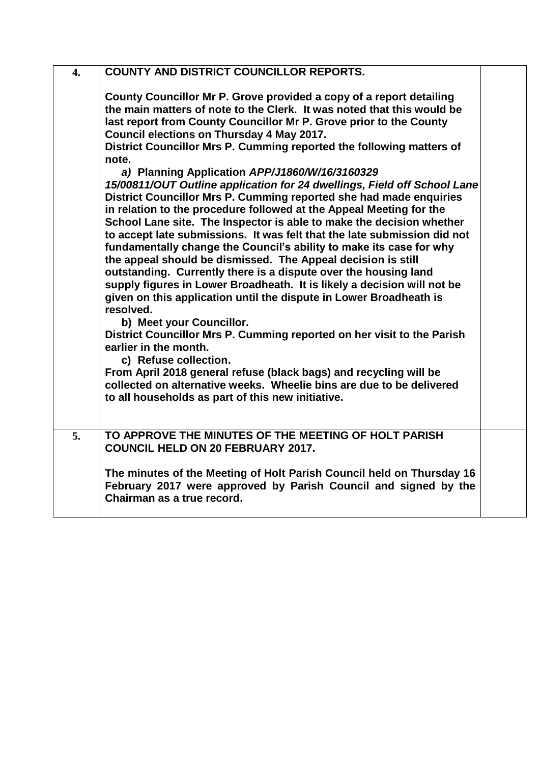| $\overline{4}$ . | <b>COUNTY AND DISTRICT COUNCILLOR REPORTS.</b>                                                                                                                                                                                                                                                                                                                                                                                                                                                                                                                                                                                                                                                                                                                                                                                                                                                                                                                                                                                                                                                                                                                                                                                                                                                                                                                                                                                                                                                                     |  |
|------------------|--------------------------------------------------------------------------------------------------------------------------------------------------------------------------------------------------------------------------------------------------------------------------------------------------------------------------------------------------------------------------------------------------------------------------------------------------------------------------------------------------------------------------------------------------------------------------------------------------------------------------------------------------------------------------------------------------------------------------------------------------------------------------------------------------------------------------------------------------------------------------------------------------------------------------------------------------------------------------------------------------------------------------------------------------------------------------------------------------------------------------------------------------------------------------------------------------------------------------------------------------------------------------------------------------------------------------------------------------------------------------------------------------------------------------------------------------------------------------------------------------------------------|--|
|                  | County Councillor Mr P. Grove provided a copy of a report detailing<br>the main matters of note to the Clerk. It was noted that this would be<br>last report from County Councillor Mr P. Grove prior to the County<br>Council elections on Thursday 4 May 2017.<br>District Councillor Mrs P. Cumming reported the following matters of<br>note.<br>a) Planning Application APP/J1860/W/16/3160329<br>15/00811/OUT Outline application for 24 dwellings, Field off School Lane<br>District Councillor Mrs P. Cumming reported she had made enquiries<br>in relation to the procedure followed at the Appeal Meeting for the<br>School Lane site. The Inspector is able to make the decision whether<br>to accept late submissions. It was felt that the late submission did not<br>fundamentally change the Council's ability to make its case for why<br>the appeal should be dismissed. The Appeal decision is still<br>outstanding. Currently there is a dispute over the housing land<br>supply figures in Lower Broadheath. It is likely a decision will not be<br>given on this application until the dispute in Lower Broadheath is<br>resolved.<br>b) Meet your Councillor.<br>District Councillor Mrs P. Cumming reported on her visit to the Parish<br>earlier in the month.<br>c) Refuse collection.<br>From April 2018 general refuse (black bags) and recycling will be<br>collected on alternative weeks. Wheelie bins are due to be delivered<br>to all households as part of this new initiative. |  |
| 5.               | TO APPROVE THE MINUTES OF THE MEETING OF HOLT PARISH                                                                                                                                                                                                                                                                                                                                                                                                                                                                                                                                                                                                                                                                                                                                                                                                                                                                                                                                                                                                                                                                                                                                                                                                                                                                                                                                                                                                                                                               |  |
|                  | <b>COUNCIL HELD ON 20 FEBRUARY 2017.</b>                                                                                                                                                                                                                                                                                                                                                                                                                                                                                                                                                                                                                                                                                                                                                                                                                                                                                                                                                                                                                                                                                                                                                                                                                                                                                                                                                                                                                                                                           |  |
|                  | The minutes of the Meeting of Holt Parish Council held on Thursday 16<br>February 2017 were approved by Parish Council and signed by the<br>Chairman as a true record.                                                                                                                                                                                                                                                                                                                                                                                                                                                                                                                                                                                                                                                                                                                                                                                                                                                                                                                                                                                                                                                                                                                                                                                                                                                                                                                                             |  |
|                  |                                                                                                                                                                                                                                                                                                                                                                                                                                                                                                                                                                                                                                                                                                                                                                                                                                                                                                                                                                                                                                                                                                                                                                                                                                                                                                                                                                                                                                                                                                                    |  |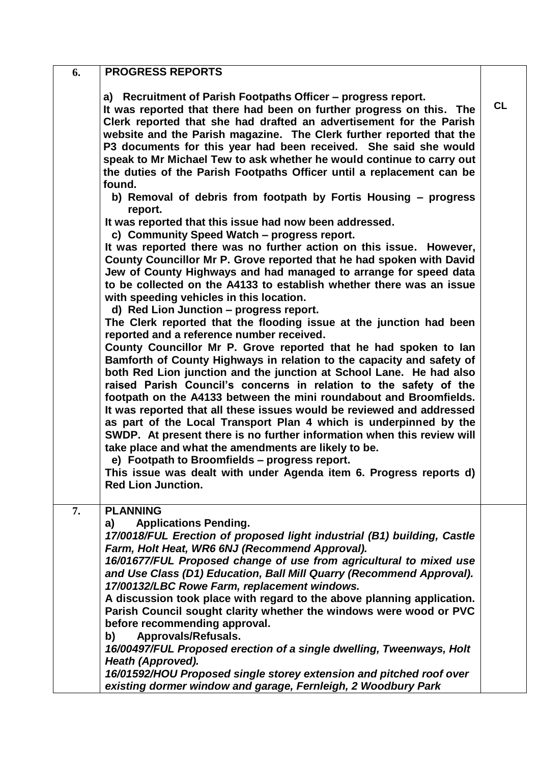| 6. | <b>PROGRESS REPORTS</b>                                                                                                                                                                                                                                                                                                                                                                                                                                                                                                                                                                                                                                                                                                                                                                                                                                                                               |           |
|----|-------------------------------------------------------------------------------------------------------------------------------------------------------------------------------------------------------------------------------------------------------------------------------------------------------------------------------------------------------------------------------------------------------------------------------------------------------------------------------------------------------------------------------------------------------------------------------------------------------------------------------------------------------------------------------------------------------------------------------------------------------------------------------------------------------------------------------------------------------------------------------------------------------|-----------|
|    | a) Recruitment of Parish Footpaths Officer – progress report.<br>It was reported that there had been on further progress on this. The<br>Clerk reported that she had drafted an advertisement for the Parish<br>website and the Parish magazine. The Clerk further reported that the<br>P3 documents for this year had been received. She said she would<br>speak to Mr Michael Tew to ask whether he would continue to carry out<br>the duties of the Parish Footpaths Officer until a replacement can be<br>found.                                                                                                                                                                                                                                                                                                                                                                                  | <b>CL</b> |
|    | b) Removal of debris from footpath by Fortis Housing - progress<br>report.                                                                                                                                                                                                                                                                                                                                                                                                                                                                                                                                                                                                                                                                                                                                                                                                                            |           |
|    | It was reported that this issue had now been addressed.<br>c) Community Speed Watch - progress report.<br>It was reported there was no further action on this issue. However,<br>County Councillor Mr P. Grove reported that he had spoken with David<br>Jew of County Highways and had managed to arrange for speed data<br>to be collected on the A4133 to establish whether there was an issue<br>with speeding vehicles in this location.<br>d) Red Lion Junction - progress report.<br>The Clerk reported that the flooding issue at the junction had been<br>reported and a reference number received.<br>County Councillor Mr P. Grove reported that he had spoken to lan<br>Bamforth of County Highways in relation to the capacity and safety of<br>both Red Lion junction and the junction at School Lane. He had also<br>raised Parish Council's concerns in relation to the safety of the |           |
|    | footpath on the A4133 between the mini roundabout and Broomfields.<br>It was reported that all these issues would be reviewed and addressed<br>as part of the Local Transport Plan 4 which is underpinned by the<br>SWDP. At present there is no further information when this review will<br>take place and what the amendments are likely to be.<br>e) Footpath to Broomfields - progress report.<br>This issue was dealt with under Agenda item 6. Progress reports d)<br><b>Red Lion Junction.</b>                                                                                                                                                                                                                                                                                                                                                                                                |           |
| 7. | <b>PLANNING</b><br><b>Applications Pending.</b><br>a)<br>17/0018/FUL Erection of proposed light industrial (B1) building, Castle<br>Farm, Holt Heat, WR6 6NJ (Recommend Approval).<br>16/01677/FUL Proposed change of use from agricultural to mixed use<br>and Use Class (D1) Education, Ball Mill Quarry (Recommend Approval).<br>17/00132/LBC Rowe Farm, replacement windows.<br>A discussion took place with regard to the above planning application.<br>Parish Council sought clarity whether the windows were wood or PVC<br>before recommending approval.<br>Approvals/Refusals.<br>b)<br>16/00497/FUL Proposed erection of a single dwelling, Tweenways, Holt                                                                                                                                                                                                                                |           |
|    | Heath (Approved).<br>16/01592/HOU Proposed single storey extension and pitched roof over<br>existing dormer window and garage, Fernleigh, 2 Woodbury Park                                                                                                                                                                                                                                                                                                                                                                                                                                                                                                                                                                                                                                                                                                                                             |           |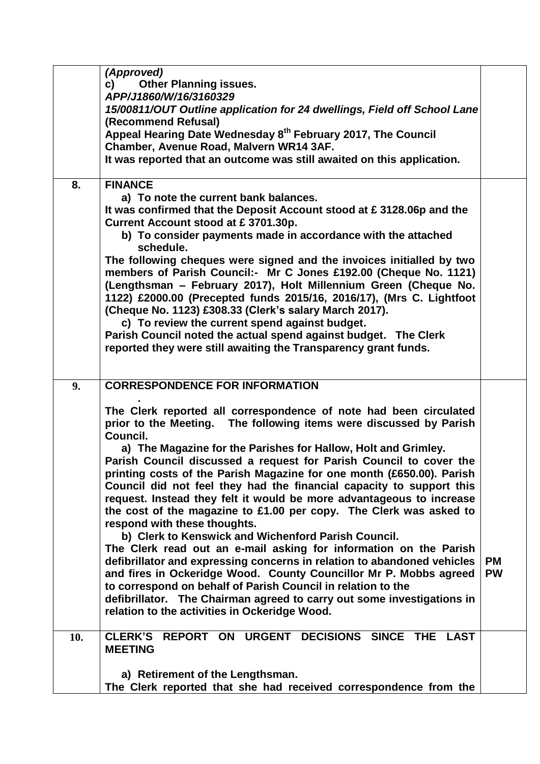|     | (Approved)                                                                                                                                          |                        |
|-----|-----------------------------------------------------------------------------------------------------------------------------------------------------|------------------------|
|     | <b>Other Planning issues.</b><br>c)<br>APP/J1860/W/16/3160329                                                                                       |                        |
|     | 15/00811/OUT Outline application for 24 dwellings, Field off School Lane<br>(Recommend Refusal)                                                     |                        |
|     | Appeal Hearing Date Wednesday 8 <sup>th</sup> February 2017, The Council                                                                            |                        |
|     | Chamber, Avenue Road, Malvern WR14 3AF.                                                                                                             |                        |
|     | It was reported that an outcome was still awaited on this application.                                                                              |                        |
| 8.  | <b>FINANCE</b><br>a) To note the current bank balances.                                                                                             |                        |
|     | It was confirmed that the Deposit Account stood at £3128.06p and the                                                                                |                        |
|     | Current Account stood at £3701.30p.                                                                                                                 |                        |
|     | b) To consider payments made in accordance with the attached<br>schedule.                                                                           |                        |
|     | The following cheques were signed and the invoices initialled by two                                                                                |                        |
|     | members of Parish Council:- Mr C Jones £192.00 (Cheque No. 1121)                                                                                    |                        |
|     | (Lengthsman - February 2017), Holt Millennium Green (Cheque No.<br>1122) £2000.00 (Precepted funds 2015/16, 2016/17), (Mrs C. Lightfoot             |                        |
|     | (Cheque No. 1123) £308.33 (Clerk's salary March 2017).                                                                                              |                        |
|     | c) To review the current spend against budget.                                                                                                      |                        |
|     | Parish Council noted the actual spend against budget. The Clerk                                                                                     |                        |
|     | reported they were still awaiting the Transparency grant funds.                                                                                     |                        |
|     |                                                                                                                                                     |                        |
| 9.  | <b>CORRESPONDENCE FOR INFORMATION</b>                                                                                                               |                        |
|     | The Clerk reported all correspondence of note had been circulated<br>prior to the Meeting. The following items were discussed by Parish<br>Council. |                        |
|     | a) The Magazine for the Parishes for Hallow, Holt and Grimley.                                                                                      |                        |
|     | Parish Council discussed a request for Parish Council to cover the                                                                                  |                        |
|     | printing costs of the Parish Magazine for one month (£650.00). Parish                                                                               |                        |
|     | Council did not feel they had the financial capacity to support this<br>request. Instead they felt it would be more advantageous to increase        |                        |
|     | the cost of the magazine to £1.00 per copy. The Clerk was asked to                                                                                  |                        |
|     | respond with these thoughts.                                                                                                                        |                        |
|     | b) Clerk to Kenswick and Wichenford Parish Council.                                                                                                 |                        |
|     | The Clerk read out an e-mail asking for information on the Parish                                                                                   |                        |
|     | defibrillator and expressing concerns in relation to abandoned vehicles<br>and fires in Ockeridge Wood. County Councillor Mr P. Mobbs agreed        | <b>PM</b><br><b>PW</b> |
|     | to correspond on behalf of Parish Council in relation to the                                                                                        |                        |
|     | defibrillator. The Chairman agreed to carry out some investigations in                                                                              |                        |
|     | relation to the activities in Ockeridge Wood.                                                                                                       |                        |
| 10. | <b>CLERK'S</b><br>REPORT ON URGENT DECISIONS SINCE THE LAST<br><b>MEETING</b>                                                                       |                        |
|     | a) Retirement of the Lengthsman.                                                                                                                    |                        |
|     | The Clerk reported that she had received correspondence from the                                                                                    |                        |
|     |                                                                                                                                                     |                        |